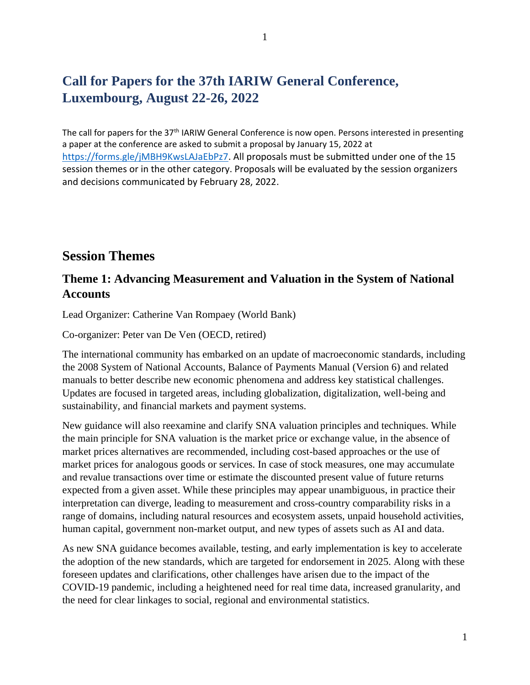# **Call for Papers for the 37th IARIW General Conference, Luxembourg, August 22-26, 2022**

The call for papers for the 37<sup>th</sup> IARIW General Conference is now open. Persons interested in presenting a paper at the conference are asked to submit a proposal by January 15, 2022 at [https://forms.gle/jMBH9KwsLAJaEbPz7.](https://forms.gle/jMBH9KwsLAJaEbPz7) All proposals must be submitted under one of the 15 session themes or in the other category. Proposals will be evaluated by the session organizers and decisions communicated by February 28, 2022.

#### **Session Themes**

#### **Theme 1: Advancing Measurement and Valuation in the System of National Accounts**

Lead Organizer: Catherine Van Rompaey (World Bank)

Co-organizer: Peter van De Ven (OECD, retired)

The international community has embarked on an update of macroeconomic standards, including the 2008 System of National Accounts, Balance of Payments Manual (Version 6) and related manuals to better describe new economic phenomena and address key statistical challenges. Updates are focused in targeted areas, including globalization, digitalization, well-being and sustainability, and financial markets and payment systems.

New guidance will also reexamine and clarify SNA valuation principles and techniques. While the main principle for SNA valuation is the market price or exchange value, in the absence of market prices alternatives are recommended, including cost-based approaches or the use of market prices for analogous goods or services. In case of stock measures, one may accumulate and revalue transactions over time or estimate the discounted present value of future returns expected from a given asset. While these principles may appear unambiguous, in practice their interpretation can diverge, leading to measurement and cross-country comparability risks in a range of domains, including natural resources and ecosystem assets, unpaid household activities, human capital, government non-market output, and new types of assets such as AI and data.

As new SNA guidance becomes available, testing, and early implementation is key to accelerate the adoption of the new standards, which are targeted for endorsement in 2025. Along with these foreseen updates and clarifications, other challenges have arisen due to the impact of the COVID-19 pandemic, including a heightened need for real time data, increased granularity, and the need for clear linkages to social, regional and environmental statistics.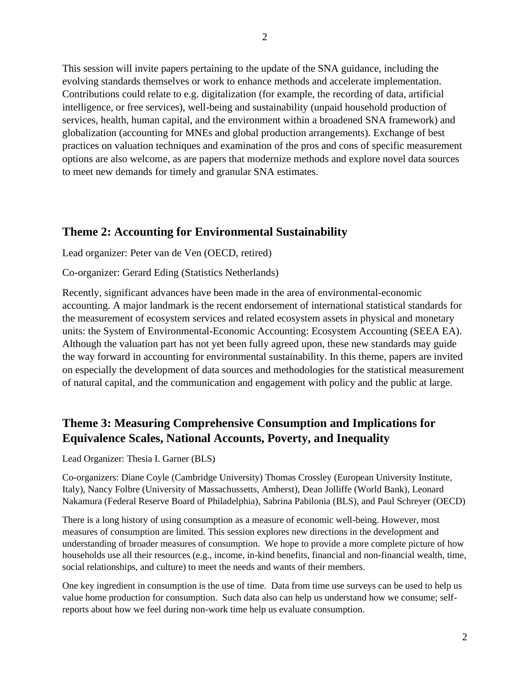This session will invite papers pertaining to the update of the SNA guidance, including the evolving standards themselves or work to enhance methods and accelerate implementation. Contributions could relate to e.g. digitalization (for example, the recording of data, artificial intelligence, or free services), well-being and sustainability (unpaid household production of services, health, human capital, and the environment within a broadened SNA framework) and globalization (accounting for MNEs and global production arrangements). Exchange of best practices on valuation techniques and examination of the pros and cons of specific measurement options are also welcome, as are papers that modernize methods and explore novel data sources to meet new demands for timely and granular SNA estimates.

#### **Theme 2: Accounting for Environmental Sustainability**

Lead organizer: Peter van de Ven (OECD, retired)

Co-organizer: Gerard Eding (Statistics Netherlands)

Recently, significant advances have been made in the area of environmental-economic accounting. A major landmark is the recent endorsement of international statistical standards for the measurement of ecosystem services and related ecosystem assets in physical and monetary units: the System of Environmental-Economic Accounting: Ecosystem Accounting (SEEA EA). Although the valuation part has not yet been fully agreed upon, these new standards may guide the way forward in accounting for environmental sustainability. In this theme, papers are invited on especially the development of data sources and methodologies for the statistical measurement of natural capital, and the communication and engagement with policy and the public at large.

# **Theme 3: Measuring Comprehensive Consumption and Implications for Equivalence Scales, National Accounts, Poverty, and Inequality**

Lead Organizer: Thesia I. Garner (BLS)

Co-organizers: Diane Coyle (Cambridge University) Thomas Crossley (European University Institute, Italy), Nancy Folbre (University of Massachussetts, Amherst), Dean Jolliffe (World Bank), Leonard Nakamura (Federal Reserve Board of Philadelphia), Sabrina Pabilonia (BLS), and Paul Schreyer (OECD)

There is a long history of using consumption as a measure of economic well-being. However, most measures of consumption are limited. This session explores new directions in the development and understanding of broader measures of consumption. We hope to provide a more complete picture of how households use all their resources (e.g., income, in-kind benefits, financial and non-financial wealth, time, social relationships, and culture) to meet the needs and wants of their members.

One key ingredient in consumption is the use of time. Data from time use surveys can be used to help us value home production for consumption. Such data also can help us understand how we consume; selfreports about how we feel during non-work time help us evaluate consumption.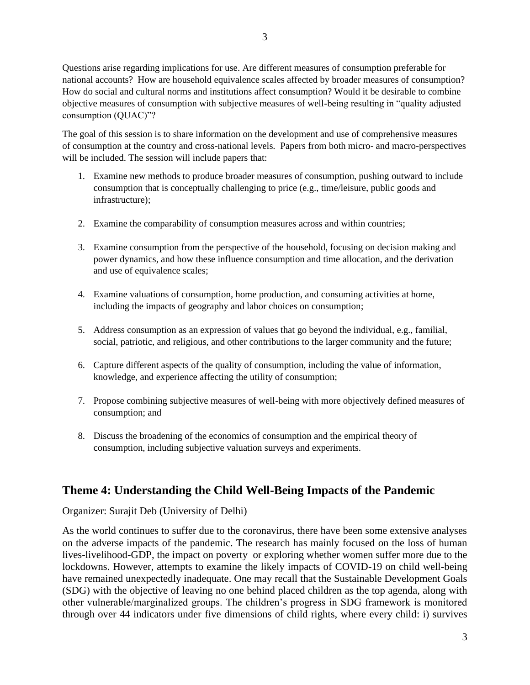Questions arise regarding implications for use. Are different measures of consumption preferable for national accounts? How are household equivalence scales affected by broader measures of consumption? How do social and cultural norms and institutions affect consumption? Would it be desirable to combine objective measures of consumption with subjective measures of well-being resulting in "quality adjusted consumption (QUAC)"?

The goal of this session is to share information on the development and use of comprehensive measures of consumption at the country and cross-national levels. Papers from both micro- and macro-perspectives will be included. The session will include papers that:

- 1. Examine new methods to produce broader measures of consumption, pushing outward to include consumption that is conceptually challenging to price (e.g., time/leisure, public goods and infrastructure);
- 2. Examine the comparability of consumption measures across and within countries;
- 3. Examine consumption from the perspective of the household, focusing on decision making and power dynamics, and how these influence consumption and time allocation, and the derivation and use of equivalence scales;
- 4. Examine valuations of consumption, home production, and consuming activities at home, including the impacts of geography and labor choices on consumption;
- 5. Address consumption as an expression of values that go beyond the individual, e.g., familial, social, patriotic, and religious, and other contributions to the larger community and the future;
- 6. Capture different aspects of the quality of consumption, including the value of information, knowledge, and experience affecting the utility of consumption;
- 7. Propose combining subjective measures of well-being with more objectively defined measures of consumption; and
- 8. Discuss the broadening of the economics of consumption and the empirical theory of consumption, including subjective valuation surveys and experiments.

#### **Theme 4: Understanding the Child Well-Being Impacts of the Pandemic**

Organizer: Surajit Deb (University of Delhi)

As the world continues to suffer due to the coronavirus, there have been some extensive analyses on the adverse impacts of the pandemic. The research has mainly focused on the loss of human lives-livelihood-GDP, the impact on poverty or exploring whether women suffer more due to the lockdowns. However, attempts to examine the likely impacts of COVID-19 on child well-being have remained unexpectedly inadequate. One may recall that the Sustainable Development Goals (SDG) with the objective of leaving no one behind placed children as the top agenda, along with other vulnerable/marginalized groups. The children's progress in SDG framework is monitored through over 44 indicators under five dimensions of child rights, where every child: i) survives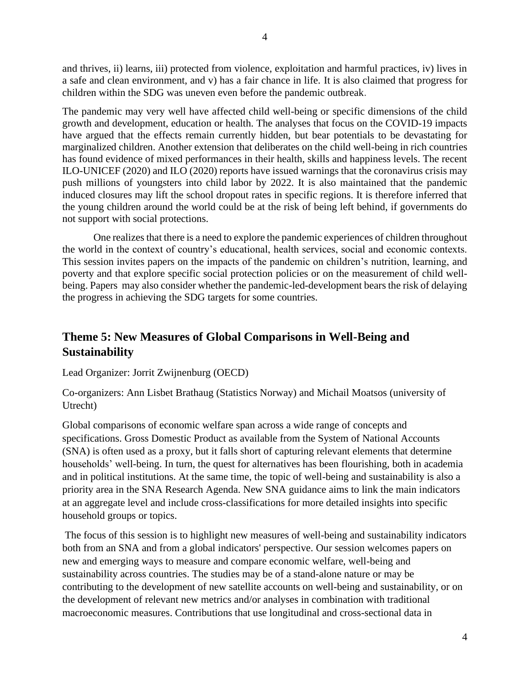and thrives, ii) learns, iii) protected from violence, exploitation and harmful practices, iv) lives in a safe and clean environment, and v) has a fair chance in life. It is also claimed that progress for children within the SDG was uneven even before the pandemic outbreak.

The pandemic may very well have affected child well-being or specific dimensions of the child growth and development, education or health. The analyses that focus on the COVID-19 impacts have argued that the effects remain currently hidden, but bear potentials to be devastating for marginalized children. Another extension that deliberates on the child well-being in rich countries has found evidence of mixed performances in their health, skills and happiness levels. The recent ILO-UNICEF (2020) and ILO (2020) reports have issued warnings that the coronavirus crisis may push millions of youngsters into child labor by 2022. It is also maintained that the pandemic induced closures may lift the school dropout rates in specific regions. It is therefore inferred that the young children around the world could be at the risk of being left behind, if governments do not support with social protections.

One realizes that there is a need to explore the pandemic experiences of children throughout the world in the context of country's educational, health services, social and economic contexts. This session invites papers on the impacts of the pandemic on children's nutrition, learning, and poverty and that explore specific social protection policies or on the measurement of child wellbeing. Papers may also consider whether the pandemic-led-development bears the risk of delaying the progress in achieving the SDG targets for some countries.

### **Theme 5: New Measures of Global Comparisons in Well-Being and Sustainability**

#### Lead Organizer: Jorrit Zwijnenburg (OECD)

Co-organizers: Ann Lisbet Brathaug (Statistics Norway) and Michail Moatsos (university of Utrecht)

Global comparisons of economic welfare span across a wide range of concepts and specifications. Gross Domestic Product as available from the System of National Accounts (SNA) is often used as a proxy, but it falls short of capturing relevant elements that determine households' well-being. In turn, the quest for alternatives has been flourishing, both in academia and in political institutions. At the same time, the topic of well-being and sustainability is also a priority area in the SNA Research Agenda. New SNA guidance aims to link the main indicators at an aggregate level and include cross-classifications for more detailed insights into specific household groups or topics.

The focus of this session is to highlight new measures of well-being and sustainability indicators both from an SNA and from a global indicators' perspective. Our session welcomes papers on new and emerging ways to measure and compare economic welfare, well-being and sustainability across countries. The studies may be of a stand-alone nature or may be contributing to the development of new satellite accounts on well-being and sustainability, or on the development of relevant new metrics and/or analyses in combination with traditional macroeconomic measures. Contributions that use longitudinal and cross-sectional data in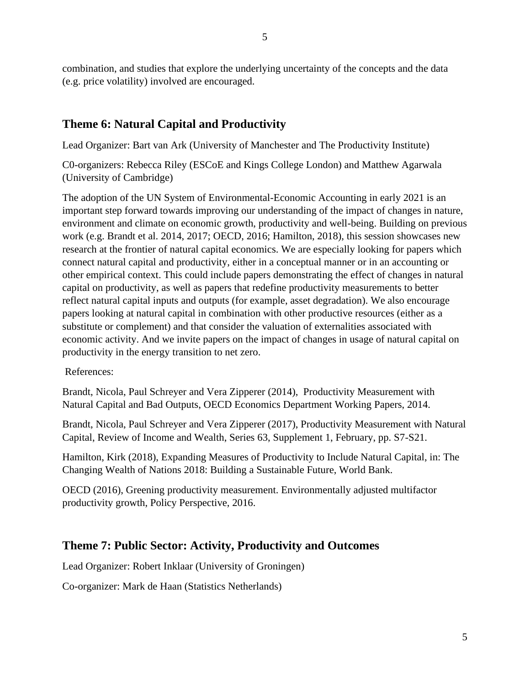combination, and studies that explore the underlying uncertainty of the concepts and the data (e.g. price volatility) involved are encouraged.

#### **Theme 6: Natural Capital and Productivity**

Lead Organizer: Bart van Ark (University of Manchester and The Productivity Institute)

C0-organizers: Rebecca Riley (ESCoE and Kings College London) and Matthew Agarwala (University of Cambridge)

The adoption of the UN System of Environmental-Economic Accounting in early 2021 is an important step forward towards improving our understanding of the impact of changes in nature, environment and climate on economic growth, productivity and well-being. Building on previous work (e.g. Brandt et al. 2014, 2017; OECD, 2016; Hamilton, 2018), this session showcases new research at the frontier of natural capital economics. We are especially looking for papers which connect natural capital and productivity, either in a conceptual manner or in an accounting or other empirical context. This could include papers demonstrating the effect of changes in natural capital on productivity, as well as papers that redefine productivity measurements to better reflect natural capital inputs and outputs (for example, asset degradation). We also encourage papers looking at natural capital in combination with other productive resources (either as a substitute or complement) and that consider the valuation of externalities associated with economic activity. And we invite papers on the impact of changes in usage of natural capital on productivity in the energy transition to net zero.

References:

Brandt, Nicola, Paul Schreyer and Vera Zipperer (2014), Productivity Measurement with Natural Capital and Bad Outputs, OECD Economics Department Working Papers, 2014.

Brandt, Nicola, Paul Schreyer and Vera Zipperer (2017), Productivity Measurement with Natural Capital, Review of Income and Wealth, Series 63, Supplement 1, February, pp. S7-S21.

Hamilton, Kirk (2018), Expanding Measures of Productivity to Include Natural Capital, in: The Changing Wealth of Nations 2018: Building a Sustainable Future, World Bank.

OECD (2016), Greening productivity measurement. Environmentally adjusted multifactor productivity growth, Policy Perspective, 2016.

#### **Theme 7: Public Sector: Activity, Productivity and Outcomes**

Lead Organizer: Robert Inklaar (University of Groningen)

Co-organizer: Mark de Haan (Statistics Netherlands)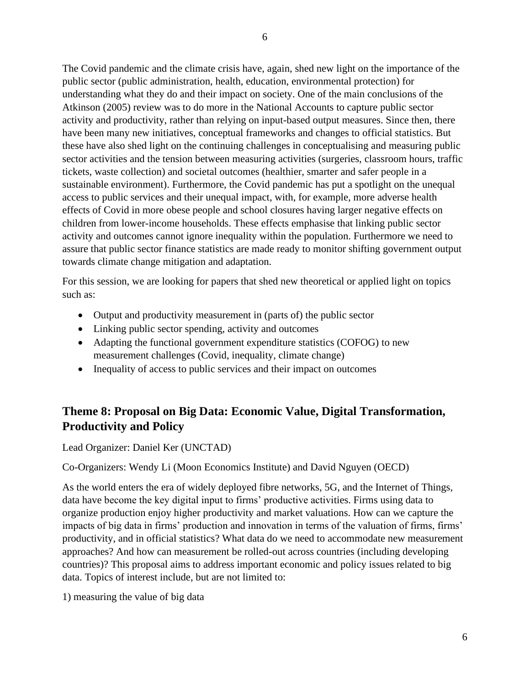The Covid pandemic and the climate crisis have, again, shed new light on the importance of the public sector (public administration, health, education, environmental protection) for understanding what they do and their impact on society. One of the main conclusions of the Atkinson (2005) review was to do more in the National Accounts to capture public sector activity and productivity, rather than relying on input-based output measures. Since then, there have been many new initiatives, conceptual frameworks and changes to official statistics. But these have also shed light on the continuing challenges in conceptualising and measuring public sector activities and the tension between measuring activities (surgeries, classroom hours, traffic tickets, waste collection) and societal outcomes (healthier, smarter and safer people in a sustainable environment). Furthermore, the Covid pandemic has put a spotlight on the unequal access to public services and their unequal impact, with, for example, more adverse health effects of Covid in more obese people and school closures having larger negative effects on children from lower-income households. These effects emphasise that linking public sector activity and outcomes cannot ignore inequality within the population. Furthermore we need to assure that public sector finance statistics are made ready to monitor shifting government output towards climate change mitigation and adaptation.

For this session, we are looking for papers that shed new theoretical or applied light on topics such as:

- Output and productivity measurement in (parts of) the public sector
- Linking public sector spending, activity and outcomes
- Adapting the functional government expenditure statistics (COFOG) to new measurement challenges (Covid, inequality, climate change)
- Inequality of access to public services and their impact on outcomes

### **Theme 8: Proposal on Big Data: Economic Value, Digital Transformation, Productivity and Policy**

Lead Organizer: Daniel Ker (UNCTAD)

#### Co-Organizers: Wendy Li (Moon Economics Institute) and David Nguyen (OECD)

As the world enters the era of widely deployed fibre networks, 5G, and the Internet of Things, data have become the key digital input to firms' productive activities. Firms using data to organize production enjoy higher productivity and market valuations. How can we capture the impacts of big data in firms' production and innovation in terms of the valuation of firms, firms' productivity, and in official statistics? What data do we need to accommodate new measurement approaches? And how can measurement be rolled-out across countries (including developing countries)? This proposal aims to address important economic and policy issues related to big data. Topics of interest include, but are not limited to:

1) measuring the value of big data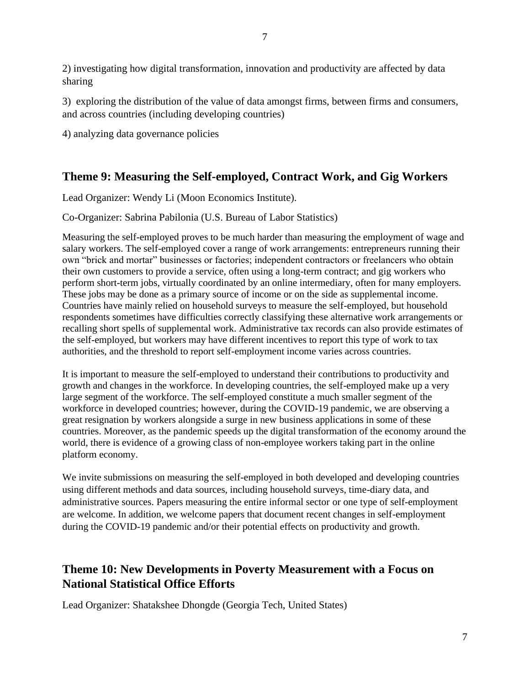2) investigating how digital transformation, innovation and productivity are affected by data sharing

3) exploring the distribution of the value of data amongst firms, between firms and consumers, and across countries (including developing countries)

4) analyzing data governance policies

### **Theme 9: Measuring the Self-employed, Contract Work, and Gig Workers**

Lead Organizer: Wendy Li (Moon Economics Institute).

Co-Organizer: Sabrina Pabilonia (U.S. Bureau of Labor Statistics)

Measuring the self-employed proves to be much harder than measuring the employment of wage and salary workers. The self-employed cover a range of work arrangements: entrepreneurs running their own "brick and mortar" businesses or factories; independent contractors or freelancers who obtain their own customers to provide a service, often using a long-term contract; and gig workers who perform short-term jobs, virtually coordinated by an online intermediary, often for many employers. These jobs may be done as a primary source of income or on the side as supplemental income. Countries have mainly relied on household surveys to measure the self-employed, but household respondents sometimes have difficulties correctly classifying these alternative work arrangements or recalling short spells of supplemental work. Administrative tax records can also provide estimates of the self-employed, but workers may have different incentives to report this type of work to tax authorities, and the threshold to report self-employment income varies across countries.

It is important to measure the self-employed to understand their contributions to productivity and growth and changes in the workforce. In developing countries, the self-employed make up a very large segment of the workforce. The self-employed constitute a much smaller segment of the workforce in developed countries; however, during the COVID-19 pandemic, we are observing a great resignation by workers alongside a surge in new business applications in some of these countries. Moreover, as the pandemic speeds up the digital transformation of the economy around the world, there is evidence of a growing class of non-employee workers taking part in the online platform economy.

We invite submissions on measuring the self-employed in both developed and developing countries using different methods and data sources, including household surveys, time-diary data, and administrative sources. Papers measuring the entire informal sector or one type of self-employment are welcome. In addition, we welcome papers that document recent changes in self-employment during the COVID-19 pandemic and/or their potential effects on productivity and growth.

# **Theme 10: New Developments in Poverty Measurement with a Focus on National Statistical Office Efforts**

Lead Organizer: Shatakshee Dhongde (Georgia Tech, United States)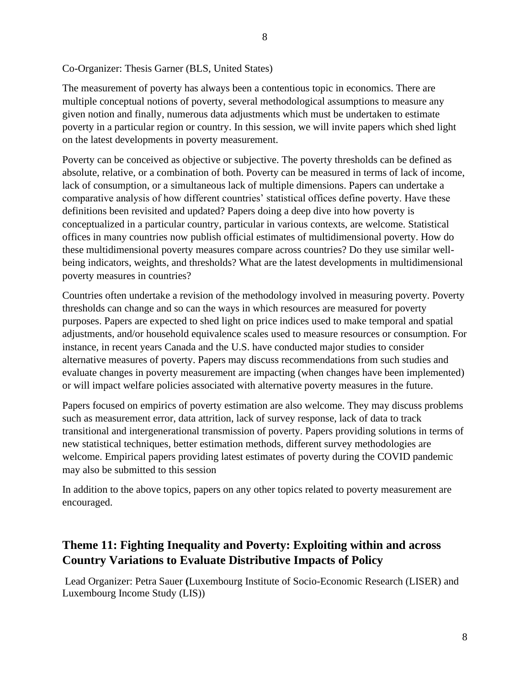Co-Organizer: Thesis Garner (BLS, United States)

The measurement of poverty has always been a contentious topic in economics. There are multiple conceptual notions of poverty, several methodological assumptions to measure any given notion and finally, numerous data adjustments which must be undertaken to estimate poverty in a particular region or country. In this session, we will invite papers which shed light on the latest developments in poverty measurement.

Poverty can be conceived as objective or subjective. The poverty thresholds can be defined as absolute, relative, or a combination of both. Poverty can be measured in terms of lack of income, lack of consumption, or a simultaneous lack of multiple dimensions. Papers can undertake a comparative analysis of how different countries' statistical offices define poverty. Have these definitions been revisited and updated? Papers doing a deep dive into how poverty is conceptualized in a particular country, particular in various contexts, are welcome. Statistical offices in many countries now publish official estimates of multidimensional poverty. How do these multidimensional poverty measures compare across countries? Do they use similar wellbeing indicators, weights, and thresholds? What are the latest developments in multidimensional poverty measures in countries?

Countries often undertake a revision of the methodology involved in measuring poverty. Poverty thresholds can change and so can the ways in which resources are measured for poverty purposes. Papers are expected to shed light on price indices used to make temporal and spatial adjustments, and/or household equivalence scales used to measure resources or consumption. For instance, in recent years Canada and the U.S. have conducted major studies to consider alternative measures of poverty. Papers may discuss recommendations from such studies and evaluate changes in poverty measurement are impacting (when changes have been implemented) or will impact welfare policies associated with alternative poverty measures in the future.

Papers focused on empirics of poverty estimation are also welcome. They may discuss problems such as measurement error, data attrition, lack of survey response, lack of data to track transitional and intergenerational transmission of poverty. Papers providing solutions in terms of new statistical techniques, better estimation methods, different survey methodologies are welcome. Empirical papers providing latest estimates of poverty during the COVID pandemic may also be submitted to this session

In addition to the above topics, papers on any other topics related to poverty measurement are encouraged.

### **Theme 11: Fighting Inequality and Poverty: Exploiting within and across Country Variations to Evaluate Distributive Impacts of Policy**

Lead Organizer: Petra Sauer **(**Luxembourg Institute of Socio-Economic Research (LISER) and Luxembourg Income Study (LIS))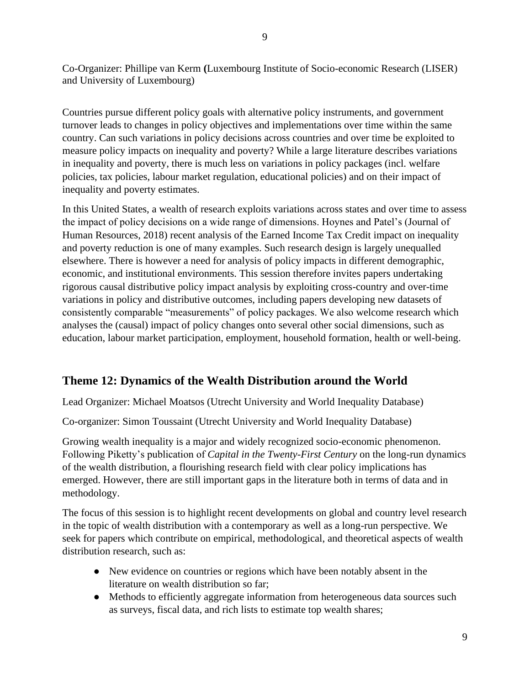Co-Organizer: Phillipe van Kerm **(**Luxembourg Institute of Socio-economic Research (LISER) and University of Luxembourg)

Countries pursue different policy goals with alternative policy instruments, and government turnover leads to changes in policy objectives and implementations over time within the same country. Can such variations in policy decisions across countries and over time be exploited to measure policy impacts on inequality and poverty? While a large literature describes variations in inequality and poverty, there is much less on variations in policy packages (incl. welfare policies, tax policies, labour market regulation, educational policies) and on their impact of inequality and poverty estimates.

In this United States, a wealth of research exploits variations across states and over time to assess the impact of policy decisions on a wide range of dimensions. Hoynes and Patel's (Journal of Human Resources, 2018) recent analysis of the Earned Income Tax Credit impact on inequality and poverty reduction is one of many examples. Such research design is largely unequalled elsewhere. There is however a need for analysis of policy impacts in different demographic, economic, and institutional environments. This session therefore invites papers undertaking rigorous causal distributive policy impact analysis by exploiting cross-country and over-time variations in policy and distributive outcomes, including papers developing new datasets of consistently comparable "measurements" of policy packages. We also welcome research which analyses the (causal) impact of policy changes onto several other social dimensions, such as education, labour market participation, employment, household formation, health or well-being.

#### **Theme 12: Dynamics of the Wealth Distribution around the World**

Lead Organizer: Michael Moatsos (Utrecht University and World Inequality Database)

Co-organizer: Simon Toussaint (Utrecht University and World Inequality Database)

Growing wealth inequality is a major and widely recognized socio-economic phenomenon. Following Piketty's publication of *Capital in the Twenty-First Century* on the long-run dynamics of the wealth distribution, a flourishing research field with clear policy implications has emerged. However, there are still important gaps in the literature both in terms of data and in methodology.

The focus of this session is to highlight recent developments on global and country level research in the topic of wealth distribution with a contemporary as well as a long-run perspective. We seek for papers which contribute on empirical, methodological, and theoretical aspects of wealth distribution research, such as:

- New evidence on countries or regions which have been notably absent in the literature on wealth distribution so far;
- Methods to efficiently aggregate information from heterogeneous data sources such as surveys, fiscal data, and rich lists to estimate top wealth shares;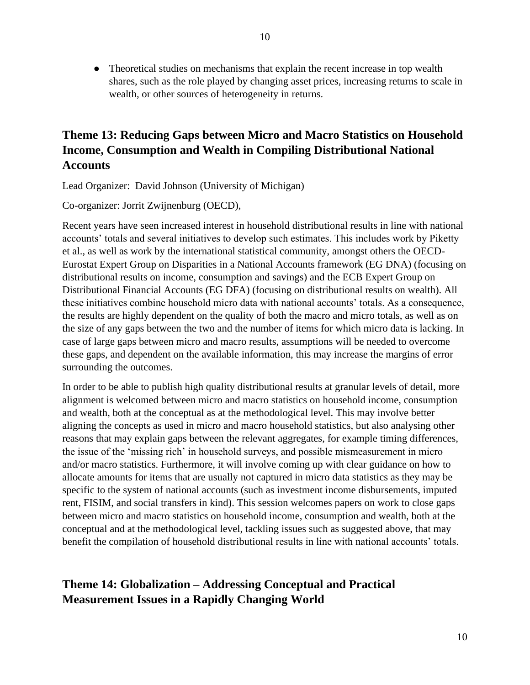• Theoretical studies on mechanisms that explain the recent increase in top wealth shares, such as the role played by changing asset prices, increasing returns to scale in wealth, or other sources of heterogeneity in returns.

# **Theme 13: Reducing Gaps between Micro and Macro Statistics on Household Income, Consumption and Wealth in Compiling Distributional National Accounts**

Lead Organizer: David Johnson (University of Michigan)

Co-organizer: Jorrit Zwijnenburg (OECD),

Recent years have seen increased interest in household distributional results in line with national accounts' totals and several initiatives to develop such estimates. This includes work by Piketty et al., as well as work by the international statistical community, amongst others the OECD-Eurostat Expert Group on Disparities in a National Accounts framework (EG DNA) (focusing on distributional results on income, consumption and savings) and the ECB Expert Group on Distributional Financial Accounts (EG DFA) (focusing on distributional results on wealth). All these initiatives combine household micro data with national accounts' totals. As a consequence, the results are highly dependent on the quality of both the macro and micro totals, as well as on the size of any gaps between the two and the number of items for which micro data is lacking. In case of large gaps between micro and macro results, assumptions will be needed to overcome these gaps, and dependent on the available information, this may increase the margins of error surrounding the outcomes.

In order to be able to publish high quality distributional results at granular levels of detail, more alignment is welcomed between micro and macro statistics on household income, consumption and wealth, both at the conceptual as at the methodological level. This may involve better aligning the concepts as used in micro and macro household statistics, but also analysing other reasons that may explain gaps between the relevant aggregates, for example timing differences, the issue of the 'missing rich' in household surveys, and possible mismeasurement in micro and/or macro statistics. Furthermore, it will involve coming up with clear guidance on how to allocate amounts for items that are usually not captured in micro data statistics as they may be specific to the system of national accounts (such as investment income disbursements, imputed rent, FISIM, and social transfers in kind). This session welcomes papers on work to close gaps between micro and macro statistics on household income, consumption and wealth, both at the conceptual and at the methodological level, tackling issues such as suggested above, that may benefit the compilation of household distributional results in line with national accounts' totals.

# **Theme 14: Globalization – Addressing Conceptual and Practical Measurement Issues in a Rapidly Changing World**